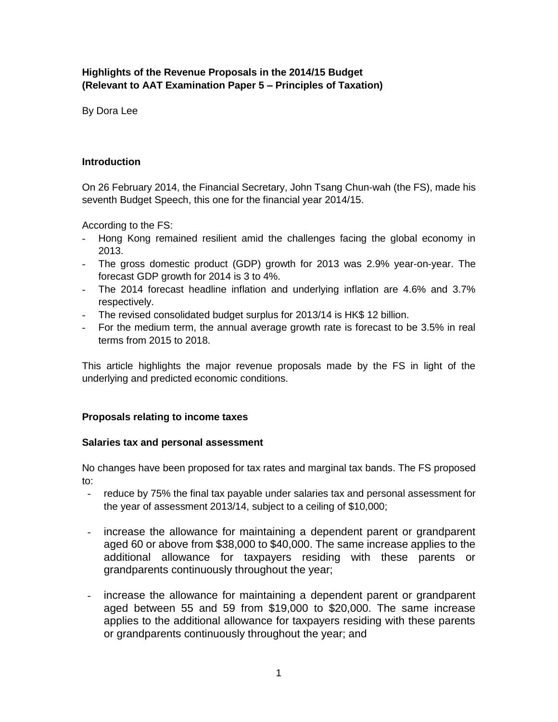# **Highlights of the Revenue Proposals in the 2014/15 Budget (Relevant to AAT Examination Paper 5 – Principles of Taxation)**

By Dora Lee

### **Introduction**

On 26 February 2014, the Financial Secretary, John Tsang Chun-wah (the FS), made his seventh Budget Speech, this one for the financial year 2014/15.

According to the FS:

- Hong Kong remained resilient amid the challenges facing the global economy in 2013.
- The gross domestic product (GDP) growth for 2013 was 2.9% year-on-year. The forecast GDP growth for 2014 is 3 to 4%.
- The 2014 forecast headline inflation and underlying inflation are 4.6% and 3.7% respectively.
- The revised consolidated budget surplus for 2013/14 is HK\$ 12 billion.
- For the medium term, the annual average growth rate is forecast to be 3.5% in real terms from 2015 to 2018.

This article highlights the major revenue proposals made by the FS in light of the underlying and predicted economic conditions.

# **Proposals relating to income taxes**

### **Salaries tax and personal assessment**

No changes have been proposed for tax rates and marginal tax bands. The FS proposed to:

- reduce by 75% the final tax payable under salaries tax and personal assessment for the year of assessment 2013/14, subject to a ceiling of \$10,000;
- increase the allowance for maintaining a dependent parent or grandparent aged 60 or above from \$38,000 to \$40,000. The same increase applies to the additional allowance for taxpayers residing with these parents or grandparents continuously throughout the year;
- increase the allowance for maintaining a dependent parent or grandparent aged between 55 and 59 from \$19,000 to \$20,000. The same increase applies to the additional allowance for taxpayers residing with these parents or grandparents continuously throughout the year; and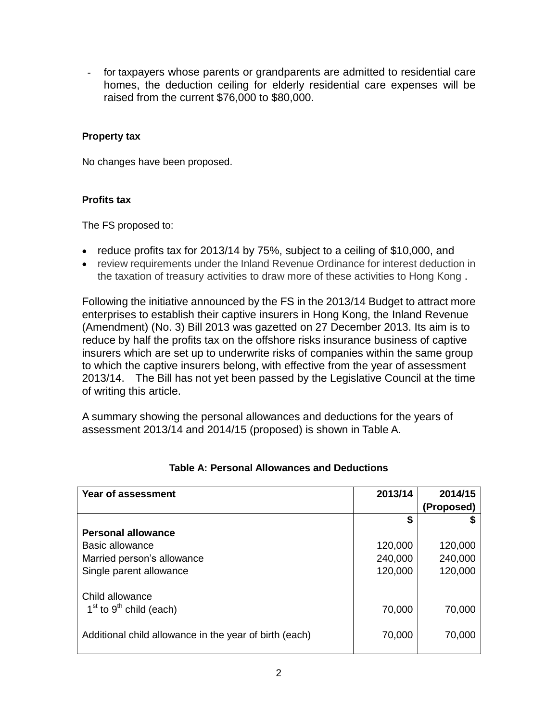for taxpayers whose parents or grandparents are admitted to residential care homes, the deduction ceiling for elderly residential care expenses will be raised from the current \$76,000 to \$80,000.

## **Property tax**

No changes have been proposed.

### **Profits tax**

The FS proposed to:

- reduce profits tax for 2013/14 by 75%, subject to a ceiling of \$10,000, and
- review requirements under the Inland Revenue Ordinance for interest deduction in the taxation of treasury activities to draw more of these activities to Hong Kong .

Following the initiative announced by the FS in the 2013/14 Budget to attract more enterprises to establish their captive insurers in Hong Kong, the Inland Revenue (Amendment) (No. 3) Bill 2013 was gazetted on 27 December 2013. Its aim is to reduce by half the profits tax on the offshore risks insurance business of captive insurers which are set up to underwrite risks of companies within the same group to which the captive insurers belong, with effective from the year of assessment 2013/14. The Bill has not yet been passed by the Legislative Council at the time of writing this article.

A summary showing the personal allowances and deductions for the years of assessment 2013/14 and 2014/15 (proposed) is shown in Table A.

| Year of assessment                                     | 2013/14 | 2014/15    |
|--------------------------------------------------------|---------|------------|
|                                                        |         | (Proposed) |
|                                                        | S       |            |
| <b>Personal allowance</b>                              |         |            |
| Basic allowance                                        | 120,000 | 120,000    |
| Married person's allowance                             | 240,000 | 240,000    |
| Single parent allowance                                | 120,000 | 120,000    |
|                                                        |         |            |
| Child allowance                                        |         |            |
| $1st$ to 9 <sup>th</sup> child (each)                  | 70,000  | 70,000     |
| Additional child allowance in the year of birth (each) | 70,000  | 70,000     |
|                                                        |         |            |

# **Table A: Personal Allowances and Deductions**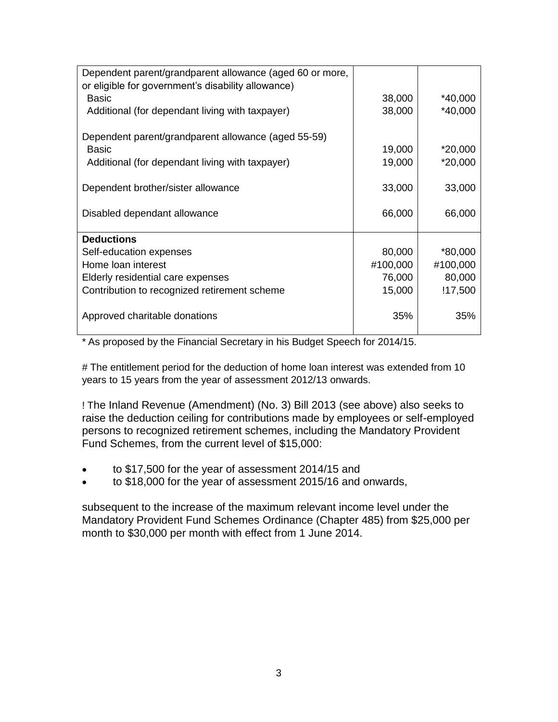| Dependent parent/grandparent allowance (aged 60 or more, |          |           |
|----------------------------------------------------------|----------|-----------|
| or eligible for government's disability allowance)       |          |           |
| Basic                                                    | 38,000   | $*40,000$ |
| Additional (for dependant living with taxpayer)          | 38,000   | $*40,000$ |
| Dependent parent/grandparent allowance (aged 55-59)      |          |           |
| Basic                                                    | 19,000   | $*20,000$ |
| Additional (for dependant living with taxpayer)          | 19,000   | $*20,000$ |
|                                                          |          |           |
| Dependent brother/sister allowance                       | 33,000   | 33,000    |
|                                                          |          |           |
| Disabled dependant allowance                             | 66,000   | 66,000    |
|                                                          |          |           |
| <b>Deductions</b>                                        |          |           |
| Self-education expenses                                  | 80,000   | $*80,000$ |
| Home loan interest                                       | #100,000 | #100,000  |
| Elderly residential care expenses                        | 76,000   | 80,000    |
| Contribution to recognized retirement scheme             | 15,000   | !17,500   |
|                                                          |          |           |
| Approved charitable donations                            | 35%      | 35%       |
|                                                          |          |           |

\* As proposed by the Financial Secretary in his Budget Speech for 2014/15.

# The entitlement period for the deduction of home loan interest was extended from 10 years to 15 years from the year of assessment 2012/13 onwards.

! The Inland Revenue (Amendment) (No. 3) Bill 2013 (see above) also seeks to raise the deduction ceiling for contributions made by employees or self-employed persons to recognized retirement schemes, including the Mandatory Provident Fund Schemes, from the current level of \$15,000:

- to \$17,500 for the year of assessment 2014/15 and
- to \$18,000 for the year of assessment 2015/16 and onwards,

subsequent to the increase of the maximum relevant income level under the Mandatory Provident Fund Schemes Ordinance (Chapter 485) from \$25,000 per month to \$30,000 per month with effect from 1 June 2014.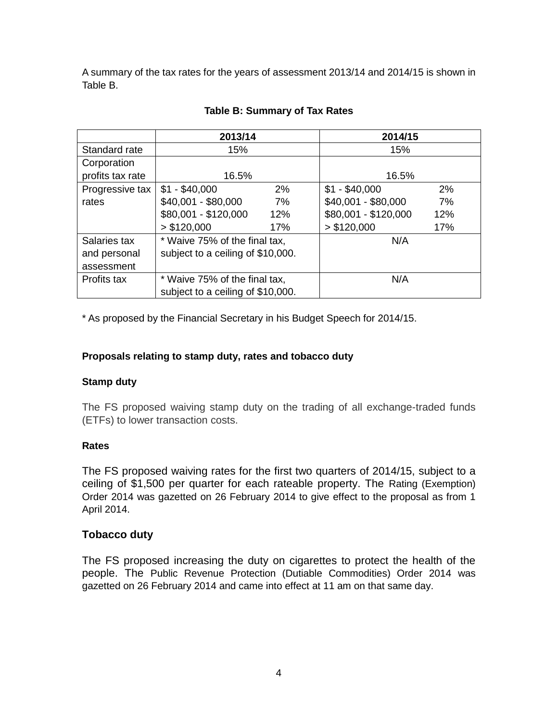A summary of the tax rates for the years of assessment 2013/14 and 2014/15 is shown in Table B.

|                  | 2013/14                           |     | 2014/15              |     |
|------------------|-----------------------------------|-----|----------------------|-----|
| Standard rate    | 15%                               |     | 15%                  |     |
| Corporation      |                                   |     |                      |     |
| profits tax rate | 16.5%                             |     | 16.5%                |     |
| Progressive tax  | $$1 - $40,000$                    | 2%  | $$1 - $40,000$       | 2%  |
| rates            | $$40,001 - $80,000$               | 7%  | \$40,001 - \$80,000  | 7%  |
|                  | \$80,001 - \$120,000              | 12% | \$80,001 - \$120,000 | 12% |
|                  | > \$120,000                       | 17% | > \$120,000          | 17% |
| Salaries tax     | * Waive 75% of the final tax,     |     | N/A                  |     |
| and personal     | subject to a ceiling of \$10,000. |     |                      |     |
| assessment       |                                   |     |                      |     |
| Profits tax      | * Waive 75% of the final tax,     |     | N/A                  |     |
|                  | subject to a ceiling of \$10,000. |     |                      |     |

## **Table B: Summary of Tax Rates**

\* As proposed by the Financial Secretary in his Budget Speech for 2014/15.

### **Proposals relating to stamp duty, rates and tobacco duty**

### **Stamp duty**

The FS proposed waiving stamp duty on the trading of all exchange-traded funds (ETFs) to lower transaction costs.

### **Rates**

The FS proposed waiving rates for the first two quarters of 2014/15, subject to a ceiling of \$1,500 per quarter for each rateable property. The Rating (Exemption) Order 2014 was gazetted on 26 February 2014 to give effect to the proposal as from 1 April 2014.

### **Tobacco duty**

The FS proposed increasing the duty on cigarettes to protect the health of the people. The Public Revenue Protection (Dutiable Commodities) Order 2014 was gazetted on 26 February 2014 and came into effect at 11 am on that same day.